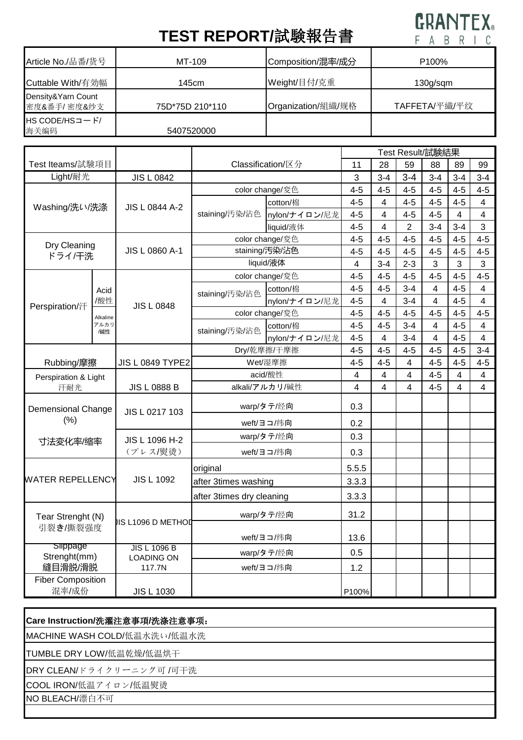## **GRANTEX**

## **TEST REPORT/**試験報告書

| Article No./品番/货号                 | MT-109          | Composition/混率/成分  | P <sub>100</sub> % |
|-----------------------------------|-----------------|--------------------|--------------------|
| Cuttable With/有効幅                 | 145cm           | Weight/目付/克重       | $130g$ /sqm        |
| Density&Yarn Count<br>密度&番手/密度&纱支 | 75D*75D 210*110 | Organization/組織/规格 | TAFFETA/平織/平纹      |
| HS CODE/HSコード/<br>海关编码            | 5407520000      |                    |                    |

|                                     |                                                  |                             |                           |                 | Test Result/試験結果 |                         |                |         |                |                |  |
|-------------------------------------|--------------------------------------------------|-----------------------------|---------------------------|-----------------|------------------|-------------------------|----------------|---------|----------------|----------------|--|
|                                     | Test Iteams/試験項目<br>Classification/区分            |                             | 11                        | 28              | 59               | 88                      | 89             | 99      |                |                |  |
| Light/耐光                            |                                                  | <b>JIS L 0842</b>           |                           |                 | 3                | $3 - 4$                 | $3 - 4$        | $3-4$   | $3 - 4$        | $3 - 4$        |  |
| Washing/洗い/洗涤                       |                                                  | JIS L 0844 A-2              | color change/変色           |                 | $4 - 5$          | $4 - 5$                 | $4 - 5$        | $4 - 5$ | $4 - 5$        | $4 - 5$        |  |
|                                     |                                                  |                             | staining/汚染/沾色            | cotton/棉        | $4 - 5$          | $\overline{4}$          | $4 - 5$        | $4 - 5$ | $4 - 5$        | $\overline{4}$ |  |
|                                     |                                                  |                             |                           | nylon/ナイロン/尼龙   | $4 - 5$          | $\overline{4}$          | $4 - 5$        | $4 - 5$ | $\overline{4}$ | $\overline{4}$ |  |
|                                     |                                                  |                             |                           | liquid/液体       | $4 - 5$          | $\overline{4}$          | $\overline{2}$ | $3-4$   | $3 - 4$        | 3              |  |
| Dry Cleaning<br>ドライ/干洗              |                                                  | JIS L 0860 A-1              | color change/変色           |                 | $4 - 5$          | $4 - 5$                 | $4 - 5$        | $4-5$   | $4 - 5$        | $4 - 5$        |  |
|                                     |                                                  |                             | staining/汚染/沾色            |                 | $4 - 5$          | $4 - 5$                 | $4 - 5$        | $4 - 5$ | $4 - 5$        | $4 - 5$        |  |
|                                     |                                                  |                             | liquid/液体                 |                 | 4                | $3 - 4$                 | $2 - 3$        | 3       | 3              | 3              |  |
|                                     |                                                  | <b>JIS L 0848</b>           | color change/変色           |                 | $4 - 5$          | $4 - 5$                 | $4 - 5$        | $4 - 5$ | $4 - 5$        | $4 - 5$        |  |
|                                     | Acid                                             |                             | staining/汚染/沾色            | cotton/棉        | $4 - 5$          | $4 - 5$                 | $3 - 4$        | 4       | $4 - 5$        | $\overline{4}$ |  |
| Perspiration/汗                      | /酸性                                              |                             |                           | nylon/ナイロン/尼龙   | $4 - 5$          | 4                       | $3 - 4$        | 4       | $4 - 5$        | 4              |  |
|                                     | Alkaline                                         |                             |                           | color change/変色 | $4 - 5$          | $4 - 5$                 | $4 - 5$        | $4-5$   | $4 - 5$        | $4 - 5$        |  |
|                                     | アルカリ<br>/碱性                                      |                             | staining/汚染/沾色            | cotton/棉        | $4 - 5$          | $4 - 5$                 | $3 - 4$        | 4       | $4 - 5$        | $\overline{4}$ |  |
|                                     |                                                  |                             |                           | nylon/ナイロン/尼龙   | $4 - 5$          | $\overline{4}$          | $3 - 4$        | 4       | $4 - 5$        | $\overline{4}$ |  |
|                                     |                                                  |                             | Dry/乾摩擦/干摩擦               |                 | $4 - 5$          | $4 - 5$                 | $4 - 5$        | $4 - 5$ | $4 - 5$        | $3 - 4$        |  |
|                                     | Rubbing/摩擦<br><b>JIS L 0849 TYPE2</b><br>Wet/湿摩擦 |                             |                           | $4 - 5$         | $4 - 5$          | $\overline{\mathbf{4}}$ | $4-5$          | $4 - 5$ | $4 - 5$        |                |  |
| Perspiration & Light<br>汗耐光         |                                                  |                             | acid/酸性<br>alkali/アルカリ/碱性 |                 | $\overline{4}$   | 4                       | 4              | $4-5$   | 4              | $\overline{4}$ |  |
|                                     |                                                  | <b>JIS L 0888 B</b>         |                           |                 | 4                | 4                       | $\overline{4}$ | $4 - 5$ | $\overline{4}$ | $\overline{4}$ |  |
| Demensional Change                  |                                                  | JIS L 0217 103              | warp/タテ/经向                |                 | 0.3              |                         |                |         |                |                |  |
| (% )                                |                                                  |                             | weft/ヨコ/纬向                |                 | 0.2              |                         |                |         |                |                |  |
| 寸法变化率/缩率                            |                                                  | JIS L 1096 H-2              | warp/タテ/经向                |                 | 0.3              |                         |                |         |                |                |  |
|                                     |                                                  | (プレス/熨烫)                    | weft/ヨコ/纬向                |                 | 0.3              |                         |                |         |                |                |  |
| <b>WATER REPELLENCY</b>             |                                                  | <b>JIS L 1092</b>           | original                  |                 | 5.5.5            |                         |                |         |                |                |  |
|                                     |                                                  |                             | after 3times washing      |                 | 3.3.3            |                         |                |         |                |                |  |
|                                     |                                                  |                             | after 3times dry cleaning |                 | 3.3.3            |                         |                |         |                |                |  |
| Tear Strenght (N)<br>引裂き/撕裂强度       |                                                  | <b>JIS L1096 D METHOL</b>   | warp/タテ/经向                |                 | 31.2             |                         |                |         |                |                |  |
|                                     |                                                  |                             | weft/ヨコ/纬向                |                 | 13.6             |                         |                |         |                |                |  |
| slippage<br>Strenght(mm)<br>縫目滑脱/滑脱 |                                                  | <b>JIS L 1096 B</b>         | warp/タテ/经向                |                 | 0.5              |                         |                |         |                |                |  |
|                                     |                                                  | <b>LOADING ON</b><br>117.7N | weft/ヨコ/纬向                |                 | 1.2              |                         |                |         |                |                |  |
| <b>Fiber Composition</b>            |                                                  |                             |                           |                 |                  |                         |                |         |                |                |  |
| 混率/成份                               |                                                  | <b>JIS L 1030</b>           |                           |                 | P100%            |                         |                |         |                |                |  |

| Care Instruction/洗濯注意事項/洗涤注意事项: |
|---------------------------------|
| MACHINE WASH COLD/低温水洗い/低温水洗    |
| TUMBLE DRY LOW/低温乾燥/低温烘干        |
| DRY CLEAN/ドライクリーニング可/可干洗        |
| COOL IRON/低温アイロン/低温熨烫           |
| NO BLEACH/漂白不可                  |